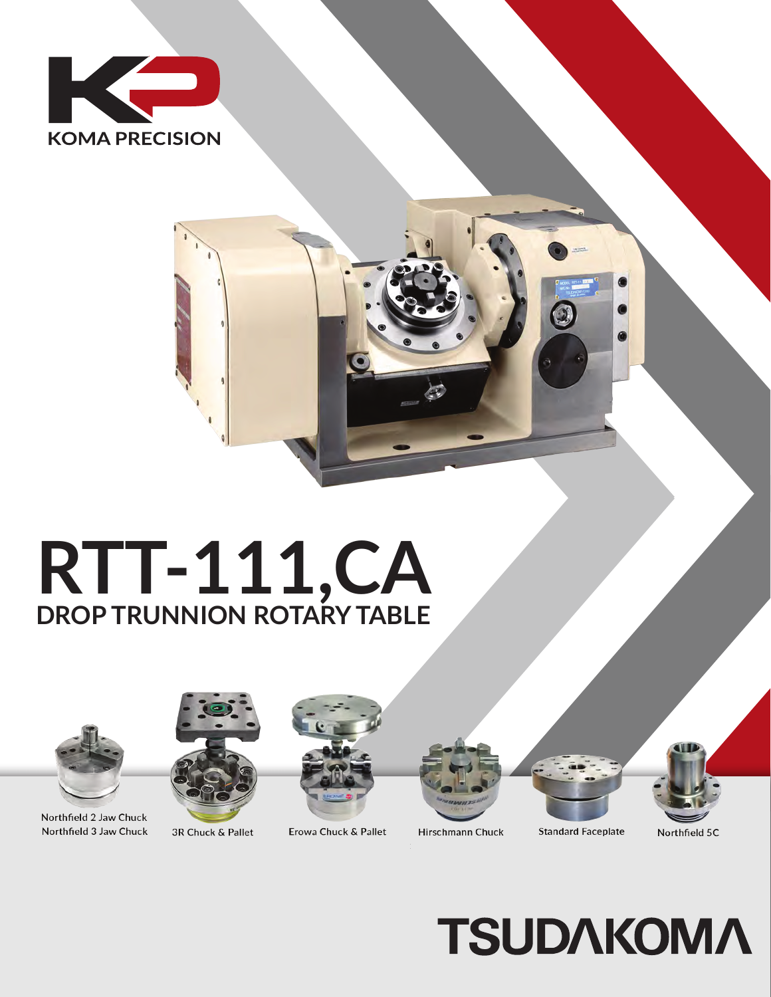

## RTT-111, CA



Northfield 2 Jaw Chuck Northfield 3 Jaw Chuck





Erowa Chuck & Pallet







Hirschmann Chuck **Standard Faceplate** 





3R Chuck & Pallet